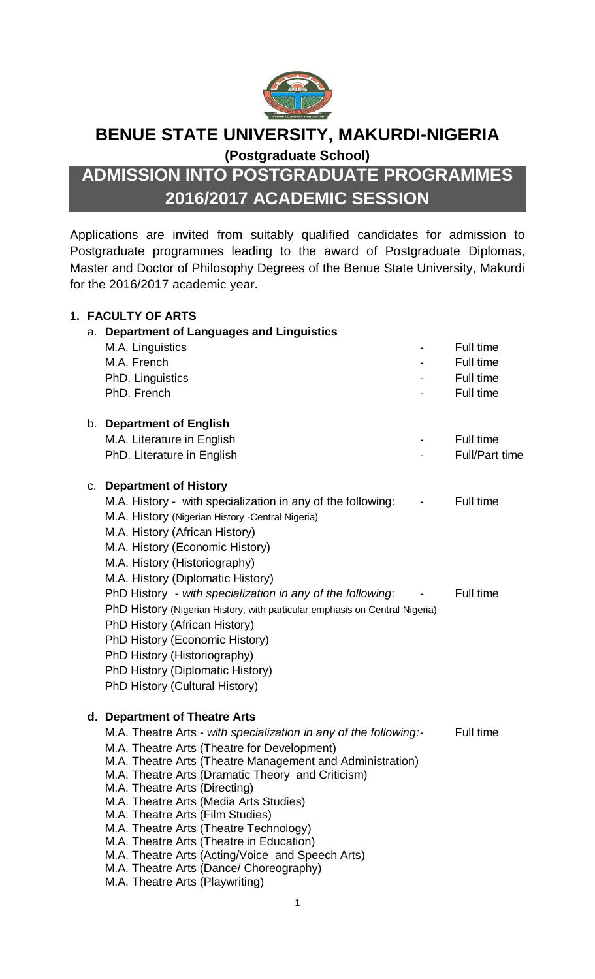

## **BENUE STATE UNIVERSITY, MAKURDI-NIGERIA**

**(Postgraduate School)**

# **ADMISSION INTO POSTGRADUATE PROGRAMMES 2016/2017 ACADEMIC SESSION**

Applications are invited from suitably qualified candidates for admission to Postgraduate programmes leading to the award of Postgraduate Diplomas, Master and Doctor of Philosophy Degrees of the Benue State University, Makurdi for the 2016/2017 academic year.

|    | <b>1. FACULTY OF ARTS</b>                                                          |                       |
|----|------------------------------------------------------------------------------------|-----------------------|
|    | a. Department of Languages and Linguistics                                         |                       |
|    | M.A. Linguistics                                                                   | Full time             |
|    | M.A. French                                                                        | Full time             |
|    | PhD. Linguistics                                                                   | Full time             |
|    | PhD. French                                                                        | Full time             |
|    | b. Department of English                                                           |                       |
|    | M.A. Literature in English                                                         | Full time             |
|    | PhD. Literature in English                                                         | <b>Full/Part time</b> |
| C. | <b>Department of History</b>                                                       |                       |
|    | M.A. History - with specialization in any of the following:                        | Full time             |
|    | M.A. History (Nigerian History -Central Nigeria)                                   |                       |
|    | M.A. History (African History)                                                     |                       |
|    | M.A. History (Economic History)                                                    |                       |
|    | M.A. History (Historiography)                                                      |                       |
|    | M.A. History (Diplomatic History)                                                  |                       |
|    | PhD History - with specialization in any of the following:                         | Full time             |
|    | PhD History (Nigerian History, with particular emphasis on Central Nigeria)        |                       |
|    | PhD History (African History)                                                      |                       |
|    | PhD History (Economic History)                                                     |                       |
|    | PhD History (Historiography)                                                       |                       |
|    | PhD History (Diplomatic History)                                                   |                       |
|    | PhD History (Cultural History)                                                     |                       |
|    | d. Department of Theatre Arts                                                      |                       |
|    | M.A. Theatre Arts - with specialization in any of the following:-                  | Full time             |
|    | M.A. Theatre Arts (Theatre for Development)                                        |                       |
|    | M.A. Theatre Arts (Theatre Management and Administration)                          |                       |
|    | M.A. Theatre Arts (Dramatic Theory and Criticism)<br>M.A. Theatre Arts (Directing) |                       |
|    | M.A. Theatre Arts (Media Arts Studies)                                             |                       |
|    | M.A. Theatre Arts (Film Studies)                                                   |                       |
|    | M.A. Theatre Arts (Theatre Technology)                                             |                       |
|    | M.A. Theatre Arts (Theatre in Education)                                           |                       |
|    | M.A. Theatre Arts (Acting/Voice and Speech Arts)                                   |                       |
|    | M.A. Theatre Arts (Dance/ Choreography)                                            |                       |
|    | M.A. Theatre Arts (Playwriting)                                                    |                       |
|    |                                                                                    |                       |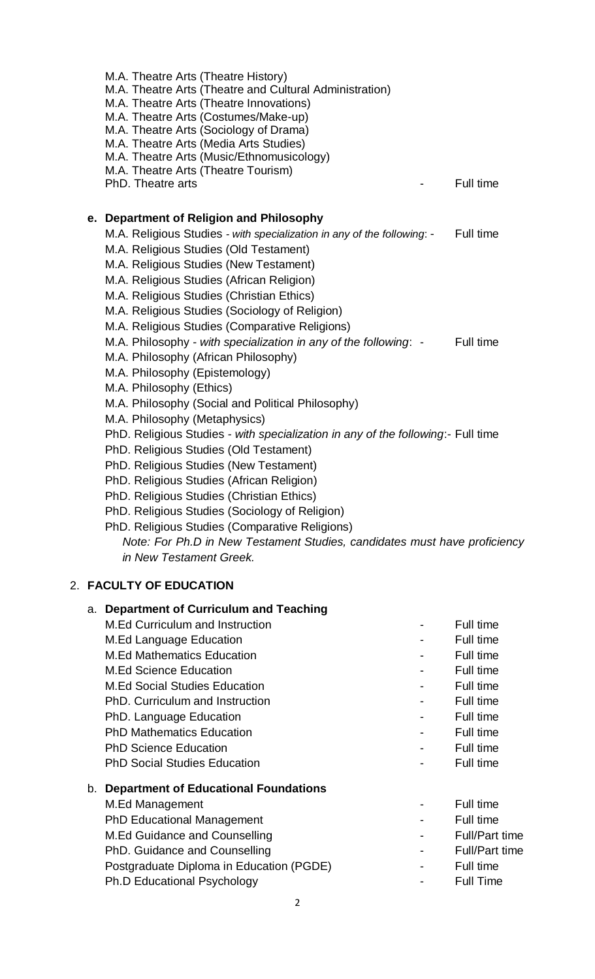|  | M.A. Theatre Arts (Theatre History)<br>M.A. Theatre Arts (Theatre and Cultural Administration)<br>M.A. Theatre Arts (Theatre Innovations)<br>M.A. Theatre Arts (Costumes/Make-up)<br>M.A. Theatre Arts (Sociology of Drama)<br>M.A. Theatre Arts (Media Arts Studies)<br>M.A. Theatre Arts (Music/Ethnomusicology)<br>M.A. Theatre Arts (Theatre Tourism)<br>PhD. Theatre arts | Full time |
|--|--------------------------------------------------------------------------------------------------------------------------------------------------------------------------------------------------------------------------------------------------------------------------------------------------------------------------------------------------------------------------------|-----------|
|  |                                                                                                                                                                                                                                                                                                                                                                                |           |
|  | e. Department of Religion and Philosophy                                                                                                                                                                                                                                                                                                                                       |           |
|  | M.A. Religious Studies - with specialization in any of the following: -                                                                                                                                                                                                                                                                                                        | Full time |
|  | M.A. Religious Studies (Old Testament)                                                                                                                                                                                                                                                                                                                                         |           |
|  | M.A. Religious Studies (New Testament)                                                                                                                                                                                                                                                                                                                                         |           |
|  | M.A. Religious Studies (African Religion)                                                                                                                                                                                                                                                                                                                                      |           |
|  | M.A. Religious Studies (Christian Ethics)                                                                                                                                                                                                                                                                                                                                      |           |
|  | M.A. Religious Studies (Sociology of Religion)                                                                                                                                                                                                                                                                                                                                 |           |
|  | M.A. Religious Studies (Comparative Religions)                                                                                                                                                                                                                                                                                                                                 |           |
|  | M.A. Philosophy - with specialization in any of the following: -                                                                                                                                                                                                                                                                                                               | Full time |
|  | M.A. Philosophy (African Philosophy)                                                                                                                                                                                                                                                                                                                                           |           |
|  | M.A. Philosophy (Epistemology)                                                                                                                                                                                                                                                                                                                                                 |           |
|  | M.A. Philosophy (Ethics)                                                                                                                                                                                                                                                                                                                                                       |           |
|  | M.A. Philosophy (Social and Political Philosophy)                                                                                                                                                                                                                                                                                                                              |           |
|  | M.A. Philosophy (Metaphysics)                                                                                                                                                                                                                                                                                                                                                  |           |
|  | PhD. Religious Studies - with specialization in any of the following:- Full time                                                                                                                                                                                                                                                                                               |           |
|  | PhD. Religious Studies (Old Testament)                                                                                                                                                                                                                                                                                                                                         |           |
|  | PhD. Religious Studies (New Testament)                                                                                                                                                                                                                                                                                                                                         |           |
|  | PhD. Religious Studies (African Religion)                                                                                                                                                                                                                                                                                                                                      |           |
|  | PhD. Religious Studies (Christian Ethics)                                                                                                                                                                                                                                                                                                                                      |           |
|  | PhD. Religious Studies (Sociology of Religion)                                                                                                                                                                                                                                                                                                                                 |           |
|  | PhD. Religious Studies (Comparative Religions)                                                                                                                                                                                                                                                                                                                                 |           |
|  | Note: For Ph.D in New Testament Studies, candidates must have proficiency<br>in New Testament Greek.                                                                                                                                                                                                                                                                           |           |
|  | 2. FACULTY OF EDUCATION                                                                                                                                                                                                                                                                                                                                                        |           |

|    | a. Department of Curriculum and Teaching     |                          |                       |
|----|----------------------------------------------|--------------------------|-----------------------|
|    | <b>M.Ed Curriculum and Instruction</b>       |                          | Full time             |
|    | <b>M.Ed Language Education</b>               |                          | Full time             |
|    | <b>M.Ed Mathematics Education</b>            |                          | Full time             |
|    | <b>M.Ed Science Education</b>                |                          | Full time             |
|    | <b>M.Ed Social Studies Education</b>         |                          | Full time             |
|    | PhD. Curriculum and Instruction              |                          | Full time             |
|    | PhD. Language Education                      |                          | Full time             |
|    | <b>PhD Mathematics Education</b>             |                          | Full time             |
|    | <b>PhD Science Education</b>                 |                          | Full time             |
|    | <b>PhD Social Studies Education</b>          |                          | Full time             |
| b. | <b>Department of Educational Foundations</b> |                          |                       |
|    | M.Ed Management                              |                          | Full time             |
|    | <b>PhD Educational Management</b>            |                          | Full time             |
|    | M.Ed Guidance and Counselling                | $\overline{\phantom{a}}$ | <b>Full/Part time</b> |
|    | PhD. Guidance and Counselling                | $\overline{\phantom{0}}$ | <b>Full/Part time</b> |
|    | Postgraduate Diploma in Education (PGDE)     | -                        | Full time             |
|    | <b>Ph.D Educational Psychology</b>           |                          | <b>Full Time</b>      |
|    |                                              |                          |                       |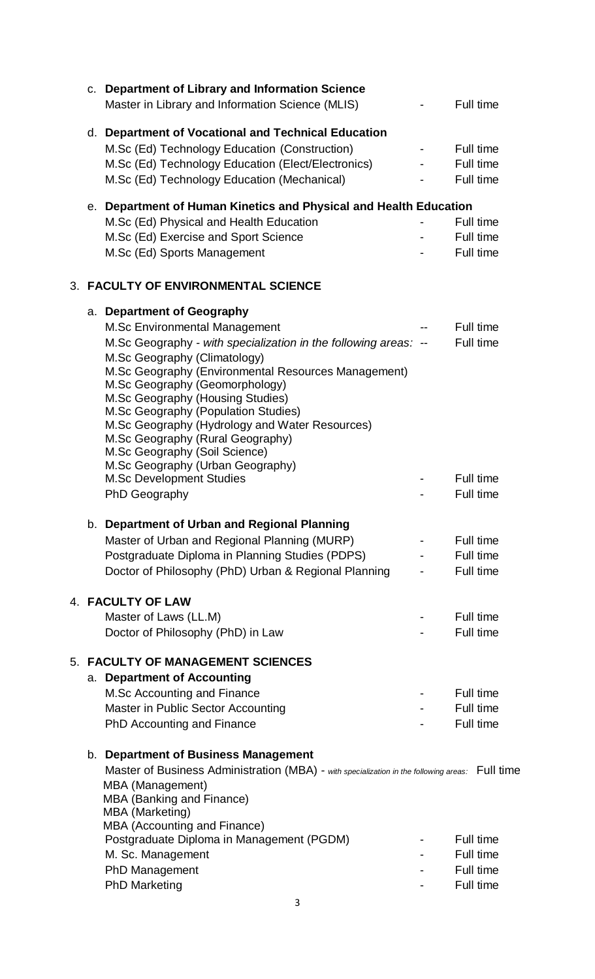|    | c. Department of Library and Information Science<br>Master in Library and Information Science (MLIS)                                                                                                                                                                                                                                                                                           | Full time                           |
|----|------------------------------------------------------------------------------------------------------------------------------------------------------------------------------------------------------------------------------------------------------------------------------------------------------------------------------------------------------------------------------------------------|-------------------------------------|
|    | d. Department of Vocational and Technical Education<br>M.Sc (Ed) Technology Education (Construction)<br>M.Sc (Ed) Technology Education (Elect/Electronics)<br>M.Sc (Ed) Technology Education (Mechanical)                                                                                                                                                                                      | Full time<br>Full time<br>Full time |
|    | e. Department of Human Kinetics and Physical and Health Education                                                                                                                                                                                                                                                                                                                              |                                     |
|    | M.Sc (Ed) Physical and Health Education                                                                                                                                                                                                                                                                                                                                                        | Full time                           |
|    | M.Sc (Ed) Exercise and Sport Science                                                                                                                                                                                                                                                                                                                                                           | Full time                           |
|    | M.Sc (Ed) Sports Management                                                                                                                                                                                                                                                                                                                                                                    | Full time                           |
|    | <b>3. FACULTY OF ENVIRONMENTAL SCIENCE</b>                                                                                                                                                                                                                                                                                                                                                     |                                     |
|    | a. Department of Geography                                                                                                                                                                                                                                                                                                                                                                     |                                     |
|    | <b>M.Sc Environmental Management</b>                                                                                                                                                                                                                                                                                                                                                           | Full time                           |
|    | M.Sc Geography - with specialization in the following areas: --                                                                                                                                                                                                                                                                                                                                | Full time                           |
|    | M.Sc Geography (Climatology)<br>M.Sc Geography (Environmental Resources Management)<br>M.Sc Geography (Geomorphology)<br>M.Sc Geography (Housing Studies)<br>M.Sc Geography (Population Studies)<br>M.Sc Geography (Hydrology and Water Resources)<br>M.Sc Geography (Rural Geography)<br>M.Sc Geography (Soil Science)<br>M.Sc Geography (Urban Geography)<br><b>M.Sc Development Studies</b> | Full time                           |
|    | PhD Geography                                                                                                                                                                                                                                                                                                                                                                                  | Full time                           |
|    | b. Department of Urban and Regional Planning<br>Master of Urban and Regional Planning (MURP)<br>Postgraduate Diploma in Planning Studies (PDPS)<br>Doctor of Philosophy (PhD) Urban & Regional Planning                                                                                                                                                                                        | Full time<br>Full time<br>Full time |
|    | 4. FACULTY OF LAW                                                                                                                                                                                                                                                                                                                                                                              |                                     |
|    | Master of Laws (LL.M)                                                                                                                                                                                                                                                                                                                                                                          | Full time                           |
|    | Doctor of Philosophy (PhD) in Law                                                                                                                                                                                                                                                                                                                                                              | Full time                           |
| 5. | <b>FACULTY OF MANAGEMENT SCIENCES</b><br>a. Department of Accounting                                                                                                                                                                                                                                                                                                                           |                                     |
|    | M.Sc Accounting and Finance                                                                                                                                                                                                                                                                                                                                                                    | Full time                           |
|    | Master in Public Sector Accounting                                                                                                                                                                                                                                                                                                                                                             | Full time                           |
|    | PhD Accounting and Finance                                                                                                                                                                                                                                                                                                                                                                     | Full time                           |
|    | b. Department of Business Management<br>Master of Business Administration (MBA) - with specialization in the following areas: Full time<br>MBA (Management)<br>MBA (Banking and Finance)<br><b>MBA</b> (Marketing)                                                                                                                                                                             |                                     |
|    | MBA (Accounting and Finance)<br>Postgraduate Diploma in Management (PGDM)                                                                                                                                                                                                                                                                                                                      | Full time                           |
|    | M. Sc. Management                                                                                                                                                                                                                                                                                                                                                                              | Full time                           |
|    | PhD Management                                                                                                                                                                                                                                                                                                                                                                                 | Full time                           |
|    | <b>PhD Marketing</b>                                                                                                                                                                                                                                                                                                                                                                           | Full time                           |
|    | 3                                                                                                                                                                                                                                                                                                                                                                                              |                                     |
|    |                                                                                                                                                                                                                                                                                                                                                                                                |                                     |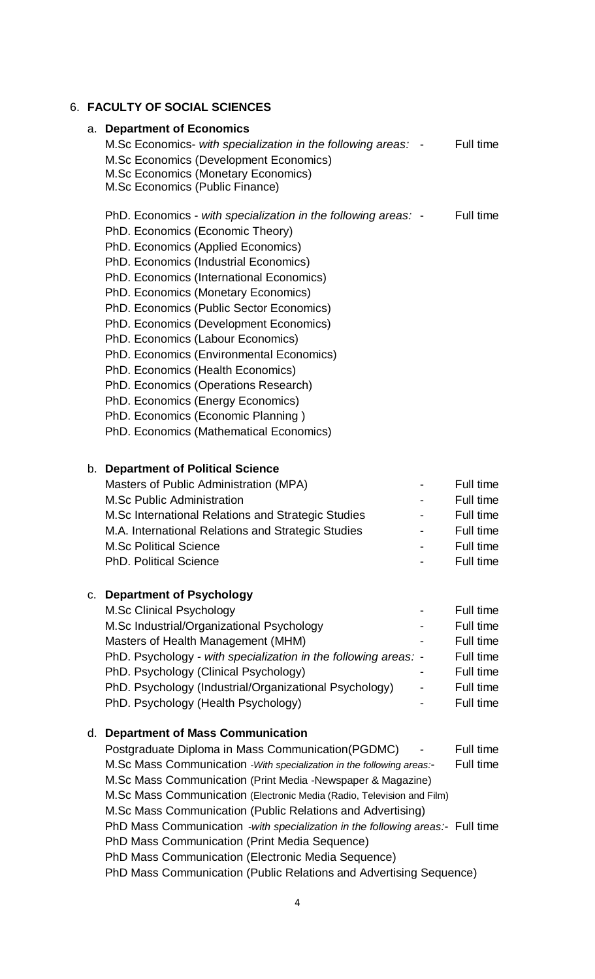## 6. **FACULTY OF SOCIAL SCIENCES**

|                                                                                                                                                                                                                                                                                                                                                                                                                                                                                                                                                                              |                                                                                                                                        | Full time                                                                                                                                                                                                                                                                                                                                                                                                                                                                                                                                                                                                                                   |
|------------------------------------------------------------------------------------------------------------------------------------------------------------------------------------------------------------------------------------------------------------------------------------------------------------------------------------------------------------------------------------------------------------------------------------------------------------------------------------------------------------------------------------------------------------------------------|----------------------------------------------------------------------------------------------------------------------------------------|---------------------------------------------------------------------------------------------------------------------------------------------------------------------------------------------------------------------------------------------------------------------------------------------------------------------------------------------------------------------------------------------------------------------------------------------------------------------------------------------------------------------------------------------------------------------------------------------------------------------------------------------|
| M.Sc Economics (Development Economics)<br><b>M.Sc Economics (Monetary Economics)</b><br>M.Sc Economics (Public Finance)                                                                                                                                                                                                                                                                                                                                                                                                                                                      |                                                                                                                                        |                                                                                                                                                                                                                                                                                                                                                                                                                                                                                                                                                                                                                                             |
| PhD. Economics (Economic Theory)<br>PhD. Economics (Applied Economics)<br>PhD. Economics (Industrial Economics)<br>PhD. Economics (International Economics)<br>PhD. Economics (Monetary Economics)<br>PhD. Economics (Public Sector Economics)<br>PhD. Economics (Development Economics)<br>PhD. Economics (Labour Economics)<br>PhD. Economics (Environmental Economics)<br>PhD. Economics (Health Economics)<br>PhD. Economics (Operations Research)<br>PhD. Economics (Energy Economics)<br>PhD. Economics (Economic Planning)<br>PhD. Economics (Mathematical Economics) |                                                                                                                                        | Full time                                                                                                                                                                                                                                                                                                                                                                                                                                                                                                                                                                                                                                   |
| Masters of Public Administration (MPA)<br><b>M.Sc Public Administration</b><br>M.Sc International Relations and Strategic Studies<br>M.A. International Relations and Strategic Studies<br><b>M.Sc Political Science</b><br><b>PhD. Political Science</b>                                                                                                                                                                                                                                                                                                                    |                                                                                                                                        | Full time<br>Full time<br>Full time<br>Full time<br>Full time<br>Full time                                                                                                                                                                                                                                                                                                                                                                                                                                                                                                                                                                  |
| M.Sc Clinical Psychology<br>M.Sc Industrial/Organizational Psychology<br>Masters of Health Management (MHM)<br>PhD. Psychology (Clinical Psychology)<br>PhD. Psychology (Industrial/Organizational Psychology)<br>PhD. Psychology (Health Psychology)                                                                                                                                                                                                                                                                                                                        |                                                                                                                                        | Full time<br>Full time<br>Full time<br>Full time<br>Full time<br>Full time<br>Full time                                                                                                                                                                                                                                                                                                                                                                                                                                                                                                                                                     |
| Postgraduate Diploma in Mass Communication (PGDMC)<br>PhD Mass Communication (Print Media Sequence)<br>PhD Mass Communication (Electronic Media Sequence)                                                                                                                                                                                                                                                                                                                                                                                                                    |                                                                                                                                        | Full time<br>Full time                                                                                                                                                                                                                                                                                                                                                                                                                                                                                                                                                                                                                      |
|                                                                                                                                                                                                                                                                                                                                                                                                                                                                                                                                                                              | a. Department of Economics<br>b. Department of Political Science<br>c. Department of Psychology<br>d. Department of Mass Communication | M.Sc Economics- with specialization in the following areas: -<br>PhD. Economics - with specialization in the following areas: -<br>PhD. Psychology - with specialization in the following areas: -<br>M.Sc Mass Communication - With specialization in the following areas:-<br>M.Sc Mass Communication (Print Media -Newspaper & Magazine)<br>M.Sc Mass Communication (Electronic Media (Radio, Television and Film)<br>M.Sc Mass Communication (Public Relations and Advertising)<br>PhD Mass Communication -with specialization in the following areas:- Full time<br>PhD Mass Communication (Public Relations and Advertising Sequence) |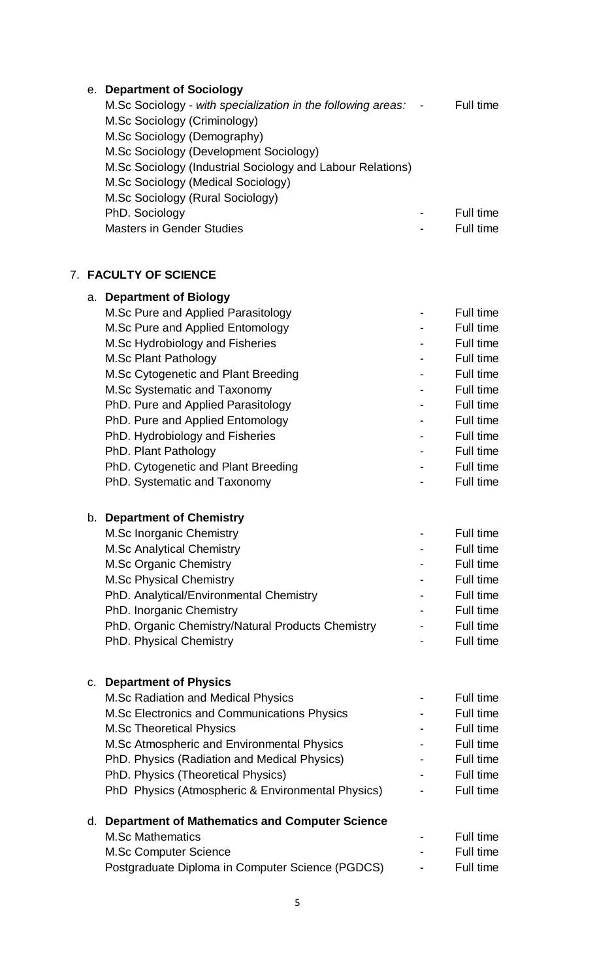|    | e. Department of Sociology                                   |           |
|----|--------------------------------------------------------------|-----------|
|    | M.Sc Sociology - with specialization in the following areas: | Full time |
|    | M.Sc Sociology (Criminology)                                 |           |
|    | M.Sc Sociology (Demography)                                  |           |
|    | M.Sc Sociology (Development Sociology)                       |           |
|    | M.Sc Sociology (Industrial Sociology and Labour Relations)   |           |
|    | M.Sc Sociology (Medical Sociology)                           |           |
|    | M.Sc Sociology (Rural Sociology)                             |           |
|    | PhD. Sociology                                               | Full time |
|    | <b>Masters in Gender Studies</b>                             | Full time |
|    | <b>7. FACULTY OF SCIENCE</b>                                 |           |
|    | a. Department of Biology                                     |           |
|    | M.Sc Pure and Applied Parasitology                           | Full time |
|    | M.Sc Pure and Applied Entomology                             | Full time |
|    | M.Sc Hydrobiology and Fisheries                              | Full time |
|    | M.Sc Plant Pathology                                         | Full time |
|    | M.Sc Cytogenetic and Plant Breeding                          | Full time |
|    | M.Sc Systematic and Taxonomy                                 | Full time |
|    | PhD. Pure and Applied Parasitology                           | Full time |
|    | PhD. Pure and Applied Entomology                             | Full time |
|    | PhD. Hydrobiology and Fisheries                              | Full time |
|    | PhD. Plant Pathology                                         | Full time |
|    | PhD. Cytogenetic and Plant Breeding                          | Full time |
|    | PhD. Systematic and Taxonomy                                 | Full time |
| b. | <b>Department of Chemistry</b>                               |           |
|    | M.Sc Inorganic Chemistry                                     | Full time |
|    | <b>M.Sc Analytical Chemistry</b>                             | Full time |
|    | M.Sc Organic Chemistry                                       | Full time |
|    | <b>M.Sc Physical Chemistry</b>                               | Full time |
|    | PhD. Analytical/Environmental Chemistry                      | Full time |
|    | PhD. Inorganic Chemistry                                     | Full time |
|    | PhD. Organic Chemistry/Natural Products Chemistry            | Full time |
|    | <b>PhD. Physical Chemistry</b>                               | Full time |
|    | c. Department of Physics                                     |           |
|    | <b>M.Sc Radiation and Medical Physics</b>                    | Full time |
|    | M.Sc Electronics and Communications Physics                  | Full time |
|    | <b>M.Sc Theoretical Physics</b>                              | Full time |
|    | M.Sc Atmospheric and Environmental Physics                   | Full time |
|    | PhD. Physics (Radiation and Medical Physics)                 | Full time |
|    | PhD. Physics (Theoretical Physics)                           | Full time |
|    | PhD Physics (Atmospheric & Environmental Physics)            | Full time |
|    | d. Department of Mathematics and Computer Science            |           |
|    | <b>M.Sc Mathematics</b>                                      | Full time |
|    | <b>M.Sc Computer Science</b>                                 | Full time |
|    | Postgraduate Diploma in Computer Science (PGDCS)             | Full time |
|    |                                                              |           |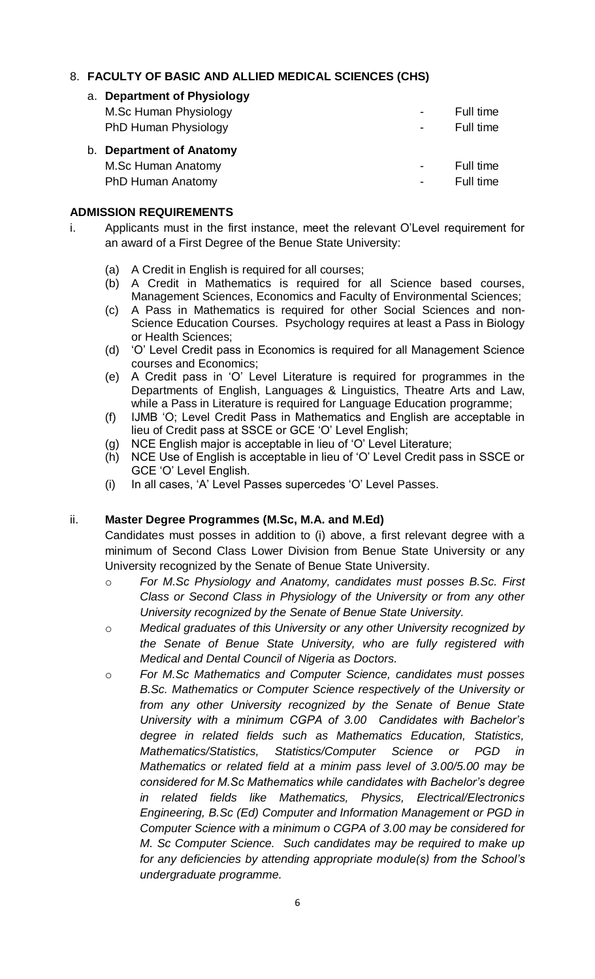### 8. **FACULTY OF BASIC AND ALLIED MEDICAL SCIENCES (CHS)**

| a. Department of Physiology |   |           |
|-----------------------------|---|-----------|
| M.Sc Human Physiology       | ۰ | Full time |
| PhD Human Physiology        | ۰ | Full time |
|                             |   |           |
| b. Department of Anatomy    |   |           |
| M.Sc Human Anatomy          |   | Full time |

#### **ADMISSION REQUIREMENTS**

- i. Applicants must in the first instance, meet the relevant O'Level requirement for an award of a First Degree of the Benue State University:
	- (a) A Credit in English is required for all courses;
	- (b) A Credit in Mathematics is required for all Science based courses, Management Sciences, Economics and Faculty of Environmental Sciences;
	- (c) A Pass in Mathematics is required for other Social Sciences and non-Science Education Courses. Psychology requires at least a Pass in Biology or Health Sciences;
	- (d) 'O' Level Credit pass in Economics is required for all Management Science courses and Economics;
	- (e) A Credit pass in 'O' Level Literature is required for programmes in the Departments of English, Languages & Linguistics, Theatre Arts and Law, while a Pass in Literature is required for Language Education programme;
	- (f) IJMB 'O; Level Credit Pass in Mathematics and English are acceptable in lieu of Credit pass at SSCE or GCE 'O' Level English;
	- (g) NCE English major is acceptable in lieu of 'O' Level Literature;
	- (h) NCE Use of English is acceptable in lieu of 'O' Level Credit pass in SSCE or GCE 'O' Level English.
	- (i) In all cases, 'A' Level Passes supercedes 'O' Level Passes.

#### ii. **Master Degree Programmes (M.Sc, M.A. and M.Ed)**

Candidates must posses in addition to (i) above, a first relevant degree with a minimum of Second Class Lower Division from Benue State University or any University recognized by the Senate of Benue State University.

- o *For M.Sc Physiology and Anatomy, candidates must posses B.Sc. First Class or Second Class in Physiology of the University or from any other University recognized by the Senate of Benue State University.*
- o *Medical graduates of this University or any other University recognized by the Senate of Benue State University, who are fully registered with Medical and Dental Council of Nigeria as Doctors.*
- o *For M.Sc Mathematics and Computer Science, candidates must posses B.Sc. Mathematics or Computer Science respectively of the University or from any other University recognized by the Senate of Benue State University with a minimum CGPA of 3.00 Candidates with Bachelor's degree in related fields such as Mathematics Education, Statistics, Mathematics/Statistics, Statistics/Computer Science or PGD in Mathematics or related field at a minim pass level of 3.00/5.00 may be considered for M.Sc Mathematics while candidates with Bachelor's degree in related fields like Mathematics, Physics, Electrical/Electronics Engineering, B.Sc (Ed) Computer and Information Management or PGD in Computer Science with a minimum o CGPA of 3.00 may be considered for M. Sc Computer Science. Such candidates may be required to make up for any deficiencies by attending appropriate module(s) from the School's undergraduate programme.*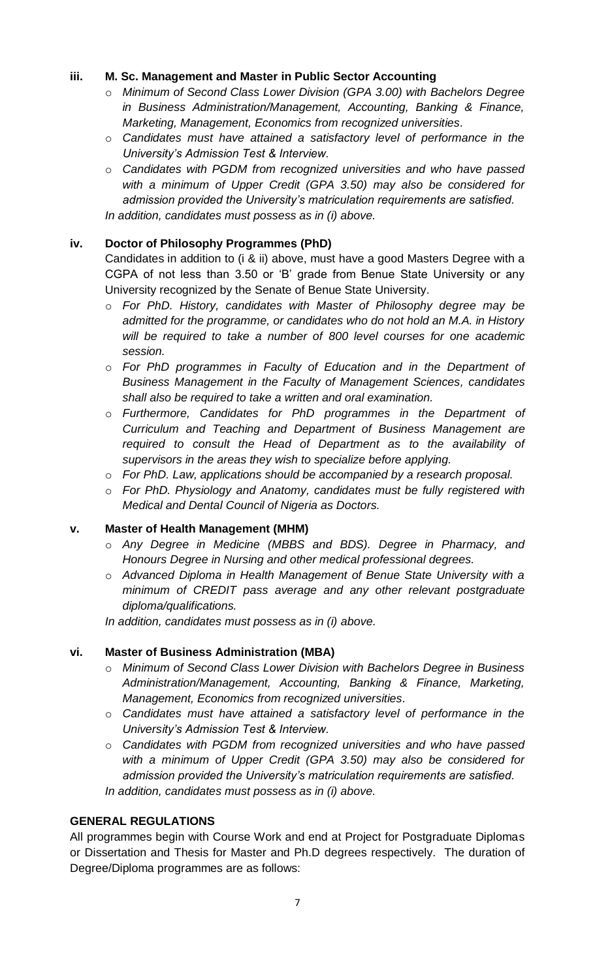#### **iii. M. Sc. Management and Master in Public Sector Accounting**

- o *Minimum of Second Class Lower Division (GPA 3.00) with Bachelors Degree in Business Administration/Management, Accounting, Banking & Finance, Marketing, Management, Economics from recognized universities.*
- o *Candidates must have attained a satisfactory level of performance in the University's Admission Test & Interview.*
- o *Candidates with PGDM from recognized universities and who have passed with a minimum of Upper Credit (GPA 3.50) may also be considered for admission provided the University's matriculation requirements are satisfied. In addition, candidates must possess as in (i) above.*

#### **iv. Doctor of Philosophy Programmes (PhD)**

Candidates in addition to (i & ii) above, must have a good Masters Degree with a CGPA of not less than 3.50 or 'B' grade from Benue State University or any University recognized by the Senate of Benue State University.

- o *For PhD. History, candidates with Master of Philosophy degree may be admitted for the programme, or candidates who do not hold an M.A. in History will be required to take a number of 800 level courses for one academic session.*
- o *For PhD programmes in Faculty of Education and in the Department of Business Management in the Faculty of Management Sciences, candidates shall also be required to take a written and oral examination.*
- o *Furthermore, Candidates for PhD programmes in the Department of Curriculum and Teaching and Department of Business Management are required to consult the Head of Department as to the availability of supervisors in the areas they wish to specialize before applying.*
- o *For PhD. Law, applications should be accompanied by a research proposal.*
- o *For PhD. Physiology and Anatomy, candidates must be fully registered with Medical and Dental Council of Nigeria as Doctors.*

#### **v. Master of Health Management (MHM)**

- o *Any Degree in Medicine (MBBS and BDS). Degree in Pharmacy, and Honours Degree in Nursing and other medical professional degrees.*
- o *Advanced Diploma in Health Management of Benue State University with a minimum of CREDIT pass average and any other relevant postgraduate diploma/qualifications.*

*In addition, candidates must possess as in (i) above.*

#### **vi. Master of Business Administration (MBA)**

- o *Minimum of Second Class Lower Division with Bachelors Degree in Business Administration/Management, Accounting, Banking & Finance, Marketing, Management, Economics from recognized universities.*
- o *Candidates must have attained a satisfactory level of performance in the University's Admission Test & Interview.*
- o *Candidates with PGDM from recognized universities and who have passed with a minimum of Upper Credit (GPA 3.50) may also be considered for admission provided the University's matriculation requirements are satisfied. In addition, candidates must possess as in (i) above.*

#### **GENERAL REGULATIONS**

All programmes begin with Course Work and end at Project for Postgraduate Diplomas or Dissertation and Thesis for Master and Ph.D degrees respectively. The duration of Degree/Diploma programmes are as follows: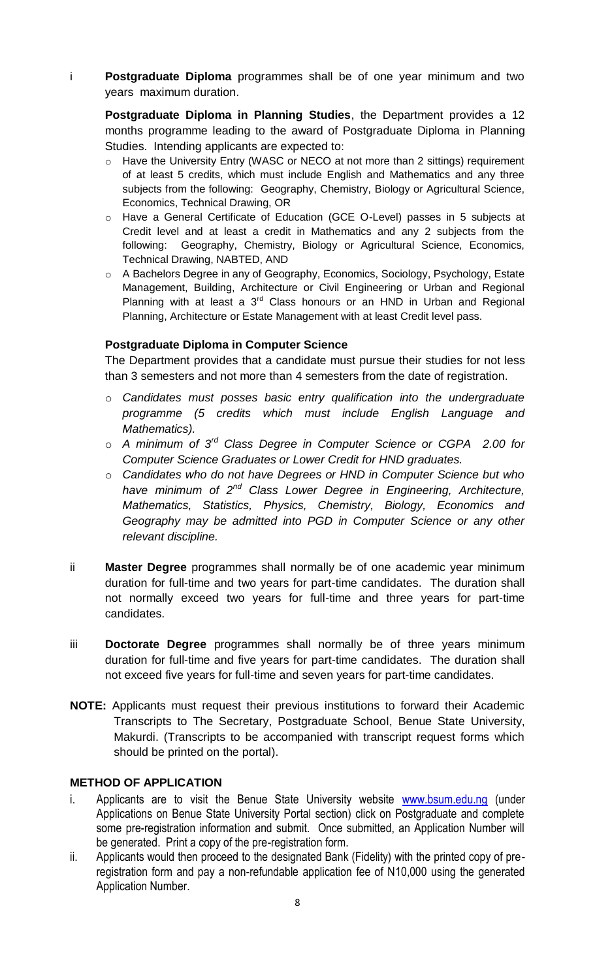i **Postgraduate Diploma** programmes shall be of one year minimum and two years maximum duration.

**Postgraduate Diploma in Planning Studies**, the Department provides a 12 months programme leading to the award of Postgraduate Diploma in Planning Studies. Intending applicants are expected to:

- o Have the University Entry (WASC or NECO at not more than 2 sittings) requirement of at least 5 credits, which must include English and Mathematics and any three subjects from the following: Geography, Chemistry, Biology or Agricultural Science, Economics, Technical Drawing, OR
- o Have a General Certificate of Education (GCE O-Level) passes in 5 subjects at Credit level and at least a credit in Mathematics and any 2 subjects from the following: Geography, Chemistry, Biology or Agricultural Science, Economics, Technical Drawing, NABTED, AND
- o A Bachelors Degree in any of Geography, Economics, Sociology, Psychology, Estate Management, Building, Architecture or Civil Engineering or Urban and Regional Planning with at least a  $3<sup>rd</sup>$  Class honours or an HND in Urban and Regional Planning, Architecture or Estate Management with at least Credit level pass.

#### **Postgraduate Diploma in Computer Science**

The Department provides that a candidate must pursue their studies for not less than 3 semesters and not more than 4 semesters from the date of registration.

- o *Candidates must posses basic entry qualification into the undergraduate programme (5 credits which must include English Language and Mathematics).*
- o *A minimum of 3rd Class Degree in Computer Science or CGPA 2.00 for Computer Science Graduates or Lower Credit for HND graduates.*
- o *Candidates who do not have Degrees or HND in Computer Science but who have minimum of 2nd Class Lower Degree in Engineering, Architecture, Mathematics, Statistics, Physics, Chemistry, Biology, Economics and Geography may be admitted into PGD in Computer Science or any other relevant discipline.*
- ii **Master Degree** programmes shall normally be of one academic year minimum duration for full-time and two years for part-time candidates. The duration shall not normally exceed two years for full-time and three years for part-time candidates.
- iii **Doctorate Degree** programmes shall normally be of three years minimum duration for full-time and five years for part-time candidates. The duration shall not exceed five years for full-time and seven years for part-time candidates.
- **NOTE:** Applicants must request their previous institutions to forward their Academic Transcripts to The Secretary, Postgraduate School, Benue State University, Makurdi. (Transcripts to be accompanied with transcript request forms which should be printed on the portal).

#### **METHOD OF APPLICATION**

- i. Applicants are to visit the Benue State University website [www.bsum.edu.ng](http://www.bsum.edu.ng/) (under Applications on Benue State University Portal section) click on Postgraduate and complete some pre-registration information and submit. Once submitted, an Application Number will be generated. Print a copy of the pre-registration form.
- ii. Applicants would then proceed to the designated Bank (Fidelity) with the printed copy of preregistration form and pay a non-refundable application fee of N10,000 using the generated Application Number.